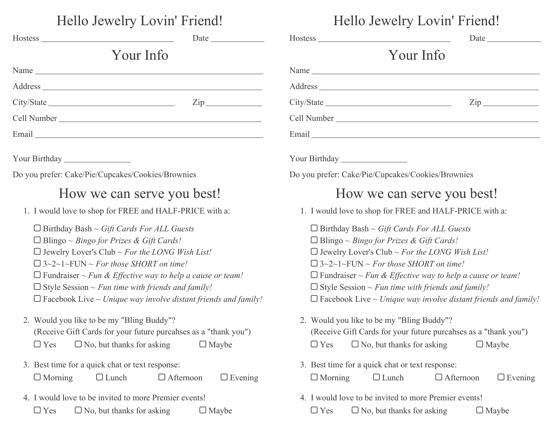| Hello Jewelry Lovin' Friend!                                                                                                                                                                                                                                                                                                                                                                                               | Hello Jewelry Lovin' Friend!                                                                                                                                                                                                                                                                                                                                                                                                   |  |  |  |  |
|----------------------------------------------------------------------------------------------------------------------------------------------------------------------------------------------------------------------------------------------------------------------------------------------------------------------------------------------------------------------------------------------------------------------------|--------------------------------------------------------------------------------------------------------------------------------------------------------------------------------------------------------------------------------------------------------------------------------------------------------------------------------------------------------------------------------------------------------------------------------|--|--|--|--|
|                                                                                                                                                                                                                                                                                                                                                                                                                            |                                                                                                                                                                                                                                                                                                                                                                                                                                |  |  |  |  |
| Your Info                                                                                                                                                                                                                                                                                                                                                                                                                  | Your Info                                                                                                                                                                                                                                                                                                                                                                                                                      |  |  |  |  |
|                                                                                                                                                                                                                                                                                                                                                                                                                            |                                                                                                                                                                                                                                                                                                                                                                                                                                |  |  |  |  |
|                                                                                                                                                                                                                                                                                                                                                                                                                            |                                                                                                                                                                                                                                                                                                                                                                                                                                |  |  |  |  |
|                                                                                                                                                                                                                                                                                                                                                                                                                            | $\mathsf{Zip}\_$                                                                                                                                                                                                                                                                                                                                                                                                               |  |  |  |  |
|                                                                                                                                                                                                                                                                                                                                                                                                                            |                                                                                                                                                                                                                                                                                                                                                                                                                                |  |  |  |  |
|                                                                                                                                                                                                                                                                                                                                                                                                                            |                                                                                                                                                                                                                                                                                                                                                                                                                                |  |  |  |  |
| Your Birthday                                                                                                                                                                                                                                                                                                                                                                                                              | Your Birthday                                                                                                                                                                                                                                                                                                                                                                                                                  |  |  |  |  |
| Do you prefer: Cake/Pie/Cupcakes/Cookies/Brownies                                                                                                                                                                                                                                                                                                                                                                          | Do you prefer: Cake/Pie/Cupcakes/Cookies/Brownies                                                                                                                                                                                                                                                                                                                                                                              |  |  |  |  |
| How we can serve you best!                                                                                                                                                                                                                                                                                                                                                                                                 | How we can serve you best!                                                                                                                                                                                                                                                                                                                                                                                                     |  |  |  |  |
| 1. I would love to shop for FREE and HALF-PRICE with a:                                                                                                                                                                                                                                                                                                                                                                    | 1. I would love to shop for FREE and HALF-PRICE with a:                                                                                                                                                                                                                                                                                                                                                                        |  |  |  |  |
| $\Box$ Birthday Bash ~ <i>Gift Cards For ALL Guests</i><br>$\Box$ Blingo ~ Bingo for Prizes & Gift Cards!<br>$\Box$ Jewelry Lover's Club ~ For the LONG Wish List!<br>$\Box$ 3~2~1~FUN ~ For those SHORT on time!<br>$\Box$ Fundraiser ~ Fun & Effective way to help a cause or team!<br>$\Box$ Style Session ~ Fun time with friends and family!<br>$\Box$ Facebook Live ~ Unique way involve distant friends and family! | $\Box$ Birthday Bash ~ Gift Cards For ALL Guests<br>$\Box$ Blingo ~ <i>Bingo for Prizes &amp; Gift Cards!</i><br>$\Box$ Jewelry Lover's Club ~ For the LONG Wish List!<br>$\Box$ 3~2~1~FUN ~ For those SHORT on time!<br>$\Box$ Fundraiser ~ Fun & Effective way to help a cause or team!<br>$\Box$ Style Session ~ Fun time with friends and family!<br>$\Box$ Facebook Live ~ Unique way involve distant friends and family! |  |  |  |  |
| 2. Would you like to be my "Bling Buddy"?<br>(Receive Gift Cards for your future purcahses as a "thank you")<br>$\Box$ No, but thanks for asking<br>$\Box$ Maybe<br>$\Box$ Yes                                                                                                                                                                                                                                             | 2. Would you like to be my "Bling Buddy"?<br>(Receive Gift Cards for your future purcahses as a "thank you")<br>$\Box$ No, but thanks for asking<br>$\Box$ Yes<br>$\Box$ Maybe                                                                                                                                                                                                                                                 |  |  |  |  |
| 3. Best time for a quick chat or text response:<br>$\Box$ Evening<br>$\Box$ Morning<br>$\Box$ Afternoon<br>$\Box$ Lunch                                                                                                                                                                                                                                                                                                    | 3. Best time for a quick chat or text response:<br>$\Box$ Morning<br>$\Box$ Lunch<br>$\Box$ Afternoon<br>$\Box$ Evening                                                                                                                                                                                                                                                                                                        |  |  |  |  |
| 4. I would love to be invited to more Premier events!<br>$\Box$ Yes<br>$\Box$ No, but thanks for asking<br>$\Box$ Maybe                                                                                                                                                                                                                                                                                                    | 4. I would love to be invited to more Premier events!<br>$\Box$ Yes<br>$\Box$ No, but thanks for asking<br>$\Box$ Maybe                                                                                                                                                                                                                                                                                                        |  |  |  |  |